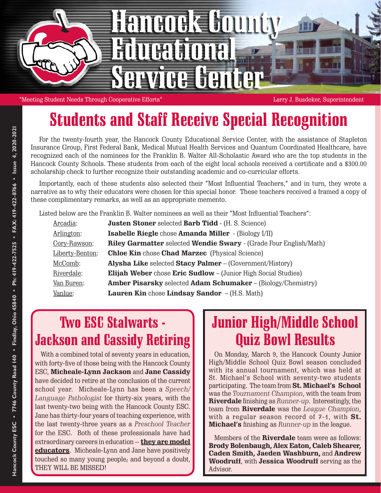

"Meeting Student Needs Through Cooperative Efforts" Larry J. Busdeker, Superintendent

## Students and Staff Receive Special Recognition

For the twenty-fourth year, the Hancock County Educational Service Center, with the assistance of Stapleton Insurance Group, First Federal Bank, Medical Mutual Health Services and Quantum Coordinated Healthcare, have recognized each of the nominees for the Franklin B. Walter All-Scholastic Award who are the top students in the Hancock County Schools. These students from each of the eight local schools received a certificate and a \$300.00 scholarship check to further recognize their outstanding academic and co-curricular efforts.

Importantly, each of these students also selected their "Most Influential Teachers," and in turn, they wrote a narrative as to why their educators were chosen for this special honor. These teachers received a framed a copy of these complimentary remarks, as well as an appropriate memento.

Listed below are the Franklin B. Walter nominees as well as their "Most Influential Teachers":

| Arcadia:        | <b>Justen Stoner</b> selected <b>Barb Tidd</b> - (H. S. Science)            |
|-----------------|-----------------------------------------------------------------------------|
| Arlington:      | <b>Isabelle Riegle</b> chose <b>Amanda Miller</b> - (Biology I/II)          |
| Cory-Rawson:    | <b>Riley Garmatter selected Wendie Swary - (Grade Four English/Math)</b>    |
| Liberty-Benton: | <b>Chloe Kin chose Chad Marzec</b> (Physical Science)                       |
| McComb:         | <b>Alysha Like selected Stacy Palmer</b> – (Government/History)             |
| Riverdale:      | <b>Elijah Weber</b> chose <b>Eric Sudlow</b> – (Junior High Social Studies) |
| Van Buren:      | <b>Amber Pisarsky</b> selected <b>Adam Schumaker</b> – (Biology/Chemistry)  |
| Vanlue:         | <b>Lauren Kin</b> chose <b>Lindsay Sandor</b> $-$ (H.S. Math)               |

## Two ESC Stalwarts - Jackson and Cassidy Retiring

With a combined total of seventy years in education, with forty-five of those being with the Hancock County ESC, **Micheale-Lynn Jackson** and **Jane Cassidy** have decided to retire at the conclusion of the current school year. Micheale-Lynn has been a *Speech/ Language Pathologist* for thirty-six years, with the last twenty-two being with the Hancock County ESC. Jane has thirty-four years of teaching experience, with the last twenty-three years as a *Preschool Teacher* for the ESC. Both of these professionals have had extraordinary careers in education -- **they are model educators**. Micheale-Lynn and Jane have positively touched so many young people; and beyond a doubt, THEY WILL BE MISSED!

### Junior High/Middle School Quiz Bowl Results

On Monday, March 9, the Hancock County Junior High/Middle School Quiz Bowl season concluded with its annual tournament, which was held at St. Michael's School with seventy-two students participating. The team from **St. Michael's School** was the *Tournament Champion*, with the team from **Riverdale** finishing as *Runner-up*. Interestingly, the team from **Riverdale** was the *League Champion*, with a regular season record of 7-1, with **St. Michael's** finishing as *Runner-up* in the league.

Members of the **Riverdale** team were as follows: **Brody Bolenbaugh, Alex Eaton, Caleb Shearer, Caden Smith, Jaeden Washburn,** and **Andrew Woodruff**, with **Jessica Woodruff** serving as the Advisor.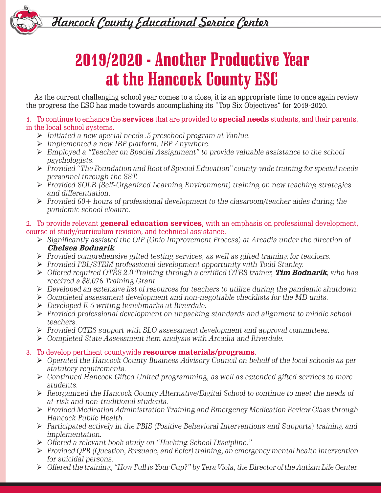Hancock County Educational Service Center

# 2019/2020 - Another Productive Year at the Hancock County ESC

As the current challenging school year comes to a close, it is an appropriate time to once again review the progress the ESC has made towards accomplishing its "Top Six Objectives" for 2019-2020.

1. To continue to enhance the **services** that are provided to **special needs** students, and their parents, in the local school systems.

- *Initiated a new special needs .5 preschool program at Vanlue.*
- *Implemented a new IEP platform, IEP Anywhere.*
- *Employed a "Teacher on Special Assignment" to provide valuable assistance to the school psychologists.*
- *Provided "The Foundation and Root of Special Education" county-wide training for special needs personnel through the SST.*
- *Provided SOLE (Self-Organized Learning Environment) training on new teaching strategies and differentiation.*
- *Provided 60+ hours of professional development to the classroom/teacher aides during the pandemic school closure.*

#### 2. To provide relevant **general education services**, with an emphasis on professional development, course of study/curriculum revision, and technical assistance.

- *Significantly assisted the OIP (Ohio Improvement Process) at Arcadia under the direction of* **Chelsea Bodnarik***.*
- *Provided comprehensive gifted testing services, as well as gifted training for teachers.*
- *Provided PBL/STEM professional development opportunity with Todd Stanley.*
- *Offered required OTES 2.0 Training through a certified OTES trainer,* **Tim Bodnarik***, who has received a \$8,076 Training Grant.*
- *Developed an extensive list of resources for teachers to utilize during the pandemic shutdown.*
- *Completed assessment development and non-negotiable checklists for the MD units.*
- *Developed K-5 writing benchmarks at Riverdale.*
- *Provided professional development on unpacking standards and alignment to middle school teachers.*
- *Provided OTES support with SLO assessment development and approval committees.*
- *Completed State Assessment item analysis with Arcadia and Riverdale.*

### 3. To develop pertinent countywide **resource materials/programs**.

- *Operated the Hancock County Business Advisory Council on behalf of the local schools as per statutory requirements.*
- *Continued Hancock Gifted United programming, as well as extended gifted services to more students.*
- *Reorganized the Hancock County Alternative/Digital School to continue to meet the needs of at-risk and non-traditional students.*
- *Provided Medication Administration Training and Emergency Medication Review Class through Hancock Public Health.*
- *Participated actively in the PBIS (Positive Behavioral Interventions and Supports) training and implementation.*
- *Offered a relevant book study on "Hacking School Discipline."*
- *Provided QPR (Question, Persuade, and Refer) training, an emergency mental health intervention for suicidal persons.*
- *Offered the training, "How Full is Your Cup?" by Tera Viola, the Director of the Autism Life Center.*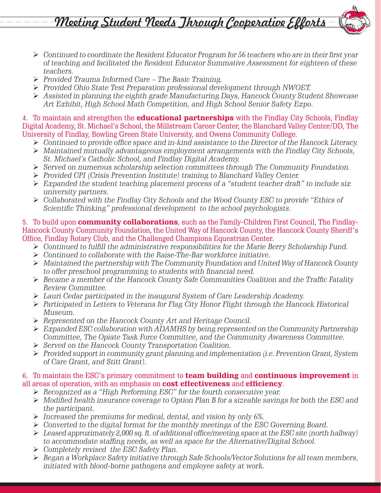Meeting Student Needs Jhrough Cooperative Efforts

- *Continued to coordinate the Resident Educator Program for 56 teachers who are in their first year of teaching and facilitated the Resident Educator Summative Assessment for eighteen of these teachers.*
- *Provided Trauma Informed Care The Basic Training.*
- *Provided Ohio State Test Preparation professional development through NWOET.*
- *Assisted in planning the eighth grade Manufacturing Days, Hancock County Student Showcase Art Exhibit, High School Math Competition, and High School Senior Safety Expo.*

4. To maintain and strengthen the **educational partnerships** with the Findlay City Schools, Findlay Digital Academy, St. Michael's School, the Millstream Career Center, the Blanchard Valley Center/DD, The University of Findlay, Bowling Green State University, and Owens Community College.

- *Continued to provide office space and in-kind assistance to the Director of the Hancock Literacy.*
- *Maintained mutually advantageous employment arrangements with the Findlay City Schools, St. Michael's Catholic School, and Findlay Digital Academy.*
- *Served on numerous scholarship selection committees through The Community Foundation.*
- *Provided CPI (Crisis Prevention Institute) training to Blanchard Valley Center.*
- *Expanded the student teaching placement process of a "student teacher draft" to include six university partners.*
- *Collaborated with the Findlay City Schools and the Wood County ESC to provide "Ethics of Scientific Thinking" professional development to the school psychologists.*

#### 5. To build upon **community collaborations**, such as the Family-Children First Council, The Findlay-Hancock County Community Foundation, the United Way of Hancock County, the Hancock County Sheriff's Office, Findlay Rotary Club, and the Challenged Champions Equestrian Center.

- *Continued to fulfill the administrative responsibilities for the Marie Berry Scholarship Fund.*
- *Continued to collaborate with the Raise-The-Bar workforce initiative.*
- *Maintained the partnership with The Community Foundation and United Way of Hancock County to offer preschool programming to students with financial need.*
- *Became a member of the Hancock County Safe Communities Coalition and the Traffic Fatality Review Committee.*
- *Lauri Cedar participated in the inaugural System of Care Leadership Academy.*
- *Participated in Letters to Veterans for Flag City Honor Flight through the Hancock Historical Museum.*
- *Represented on the Hancock County Art and Heritage Council.*
- *Expanded ESC collaboration with ADAMHS by being represented on the Community Partnership Committee, The Opiate Task Force Committee, and the Community Awareness Committee.*
- *Served on the Hancock County Transportation Coalition.*
- *Provided support in community grant planning and implementation (i.e. Prevention Grant, System of Care Grant, and Stitt Grant).*

#### 6. To maintain the ESC's primary commitment to **team building** and **continuous improvement** in all areas of operation, with an emphasis on **cost effectiveness** and **efficiency**.

- *Recognized as a "High Performing ESC" for the fourth consecutive year.*
- *Modified health insurance coverage to Option Plan B for a sizeable savings for both the ESC and the participant.*
- *Increased the premiums for medical, dental, and vision by only 6%.*
- *Converted to the digital format for the monthly meetings of the ESC Governing Board.*
- *Leased approximately 2,000 sq. ft. of additional office/meeting space at the ESC site (north hallway) to accommodate staffing needs, as well as space for the Alternative/Digital School.*
- *Completely revised the ESC Safety Plan.*
- *Began a Workplace Safety initiative through Safe Schools/Vector Solutions for all team members, initiated with blood-borne pathogens and employee safety at work.*